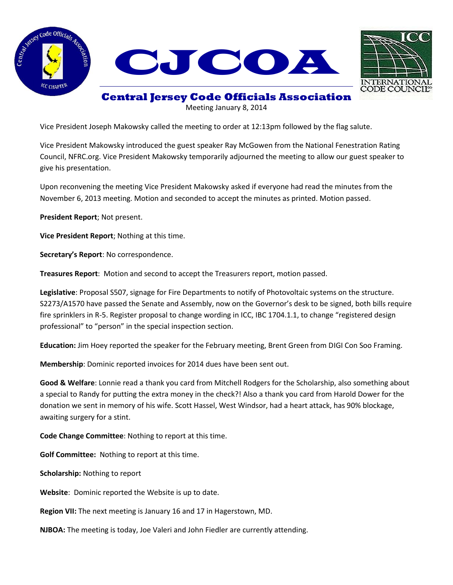



## **Central Jersey Code Officials Association**

Meeting January 8, 2014

Vice President Joseph Makowsky called the meeting to order at 12:13pm followed by the flag salute.

Vice President Makowsky introduced the guest speaker Ray McGowen from the National Fenestration Rating Council, NFRC.org. Vice President Makowsky temporarily adjourned the meeting to allow our guest speaker to give his presentation.

Upon reconvening the meeting Vice President Makowsky asked if everyone had read the minutes from the November 6, 2013 meeting. Motion and seconded to accept the minutes as printed. Motion passed.

**President Report**; Not present.

**Vice President Report**; Nothing at this time.

**Secretary's Report**: No correspondence.

**Treasures Report**: Motion and second to accept the Treasurers report, motion passed.

**Legislative**: Proposal S507, signage for Fire Departments to notify of Photovoltaic systems on the structure. S2273/A1570 have passed the Senate and Assembly, now on the Governor's desk to be signed, both bills require fire sprinklers in R-5. Register proposal to change wording in ICC, IBC 1704.1.1, to change "registered design professional" to "person" in the special inspection section.

**Education:** Jim Hoey reported the speaker for the February meeting, Brent Green from DIGI Con Soo Framing.

**Membership**: Dominic reported invoices for 2014 dues have been sent out.

**Good & Welfare**: Lonnie read a thank you card from Mitchell Rodgers for the Scholarship, also something about a special to Randy for putting the extra money in the check?! Also a thank you card from Harold Dower for the donation we sent in memory of his wife. Scott Hassel, West Windsor, had a heart attack, has 90% blockage, awaiting surgery for a stint.

**Code Change Committee**: Nothing to report at this time.

**Golf Committee:** Nothing to report at this time.

**Scholarship:** Nothing to report

**Website**: Dominic reported the Website is up to date.

**Region VII:** The next meeting is January 16 and 17 in Hagerstown, MD.

**NJBOA:** The meeting is today, Joe Valeri and John Fiedler are currently attending.